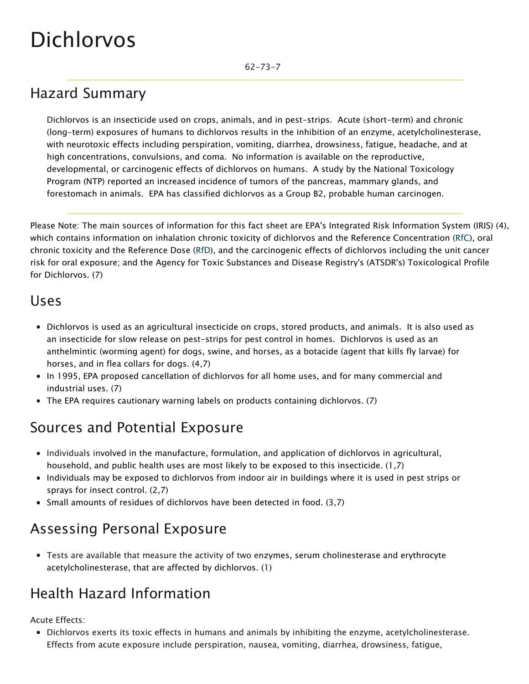# Dichlorvos

### Hazard Summary

Dichlorvos is an insecticide used on crops, animals, and in pest-strips. Acute (short-term) and chronic (long-term) exposures of humans to dichlorvos results in the inhibition of an enzyme, acetylcholinesterase, with neurotoxic effects including perspiration, vomiting, diarrhea, drowsiness, fatigue, headache, and at high concentrations, convulsions, and coma. No information is available on the reproductive, developmental, or carcinogenic effects of dichlorvos on humans. A study by the National Toxicology Program (NTP) reported an increased incidence of tumors of the pancreas, mammary glands, and forestomach in animals. EPA has classified dichlorvos as a Group B2, probable human carcinogen.

Please Note: The main sources of information for this fact sheet are EPA's Integrated Risk Information System (IRIS) (4), which contains information on inhalation chronic toxicity of dichlorvos and the Reference Concentration ([RfC](https://www.epa.gov/haps/health-effects-notebook-glossary)), oral chronic toxicity and the Reference Dose ([RfD\)](https://www.epa.gov/haps/health-effects-notebook-glossary), and the carcinogenic effects of dichlorvos including the unit cancer risk for oral exposure; and the Agency for Toxic Substances and Disease Registry's (ATSDR's) Toxicological Profile for Dichlorvos. (7)

#### Uses

- Dichlorvos is used as an agricultural insecticide on crops, stored products, and animals. It is also used as an insecticide for slow release on pest-strips for pest control in homes. Dichlorvos is used as an anthelmintic (worming agent) for dogs, swine, and horses, as a botacide (agent that kills fly larvae) for horses, and in flea collars for dogs. (4,7)
- In 1995, EPA proposed cancellation of dichlorvos for all home uses, and for many commercial and industrial uses. (7)
- The EPA requires cautionary warning labels on products containing dichlorvos. (7)

### Sources and Potential Exposure

- Individuals involved in the manufacture, formulation, and application of dichlorvos in agricultural, household, and public health uses are most likely to be exposed to this insecticide. (1,7)
- Individuals may be exposed to dichlorvos from indoor air in buildings where it is used in pest strips or sprays for insect control. (2,7)
- Small amounts of residues of dichlorvos have been detected in food. (3,7)

#### Assessing Personal Exposure

Tests are available that measure the activity of two enzymes, serum cholinesterase and erythrocyte acetylcholinesterase, that are affected by dichlorvos. (1)

#### Health Hazard Information

Acute Effects:

Dichlorvos exerts its toxic effects in humans and animals by inhibiting the enzyme, acetylcholinesterase. Effects from acute exposure include perspiration, nausea, vomiting, diarrhea, drowsiness, fatigue,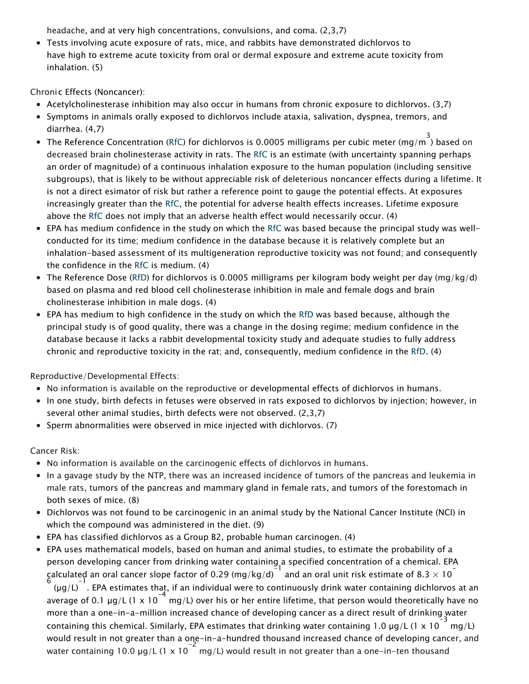headache, and at very high concentrations, convulsions, and coma. (2,3,7)

Tests involving acute exposure of rats, mice, and rabbits have demonstrated dichlorvos to have [high](https://www.epa.gov/haps/about-health-effects-fact-sheets) to [extreme](https://www.epa.gov/haps/about-health-effects-fact-sheets) acute toxicity from oral or dermal exposure and [extreme](https://www.epa.gov/haps/about-health-effects-fact-sheets) acute toxicity from inhalation. (5)

Chronic Effects (Noncancer):

- Acetylcholinesterase inhibition may also occur in humans from chronic exposure to dichlorvos. (3,7)
- Symptoms in animals orally exposed to dichlorvos include ataxia, salivation, dyspnea, tremors, and diarrhea. (4,7)
- The Reference Concentration [\(RfC](https://www.epa.gov/haps/health-effects-notebook-glossary)) for dichlorvos is 0.0005 milligrams per cubic meter (mg/m 3 ) based on decreased brain cholinesterase activity in rats. The [RfC](https://www.epa.gov/haps/health-effects-notebook-glossary) is an estimate (with uncertainty spanning perhaps an order of magnitude) of a continuous inhalation exposure to the human population (including sensitive subgroups), that is likely to be without appreciable risk of deleterious noncancer effects during a lifetime. It is not a direct esimator of risk but rather a reference point to gauge the potential effects. At exposures increasingly greater than the [RfC,](https://www.epa.gov/haps/health-effects-notebook-glossary) the potential for adverse health effects increases. Lifetime exposure above the [RfC](https://www.epa.gov/haps/health-effects-notebook-glossary) does not imply that an adverse health effect would necessarily occur. (4)
- EPA has medium confidence in the study on which the [RfC](https://www.epa.gov/haps/health-effects-notebook-glossary) was based because the principal study was wellconducted for its time; medium confidence in the database because it is relatively complete but an inhalation-based assessment of its multigeneration reproductive toxicity was not found; and consequently the confidence in the [RfC](https://www.epa.gov/haps/health-effects-notebook-glossary) is medium. (4)
- The Reference Dose [\(RfD\)](https://www.epa.gov/haps/health-effects-notebook-glossary) for dichlorvos is 0.0005 milligrams per kilogram body weight per day (mg/kg/d) based on plasma and red blood cell cholinesterase inhibition in male and female dogs and brain cholinesterase inhibition in male dogs. (4)
- EPA has medium to high confidence in the study on which the [RfD](https://www.epa.gov/haps/health-effects-notebook-glossary) was based because, although the principal study is of good quality, there was a change in the dosing regime; medium confidence in the database because it lacks a rabbit developmental toxicity study and adequate studies to fully address chronic and reproductive toxicity in the rat; and, consequently, medium confidence in the [RfD.](https://www.epa.gov/haps/health-effects-notebook-glossary) (4)

Reproductive/Developmental Effects:

- No information is available on the reproductive or developmental effects of dichlorvos in humans.
- In one study, birth defects in fetuses were observed in rats exposed to dichlorvos by injection; however, in several other animal studies, birth defects were not observed. (2,3,7)
- Sperm abnormalities were observed in mice injected with dichlorvos. (7)

Cancer Risk:

- No information is available on the carcinogenic effects of dichlorvos in humans.
- In a gavage study by the NTP, there was an increased incidence of tumors of the pancreas and leukemia in male rats, tumors of the pancreas and mammary gland in female rats, and tumors of the forestomach in both sexes of mice. (8)
- Dichlorvos was not found to be carcinogenic in an animal study by the National Cancer Institute (NCI) in which the compound was administered in the diet. (9)
- EPA has classified dichlorvos as a Group B2, probable human carcinogen. (4)
- EPA uses mathematical models, based on human and animal studies, to estimate the probability of a person developing cancer from drinking water containing a specified concentration of a chemical. EPA calculated an oral cancer slope factor of 0.29 (mg/kg/d)  $\frac{21}{1}$  and an oral unit risk estimate of 8.3  $\times$  10

 $(\mu g/L)^{-1}$ . EPA estimates that, if an individual were to continuously drink water containing dichlorvos at an average of 0.1  $\mu$ g/L (1 x 10<sup>-4</sup> mg/L) over his or her entire lifetime, that person would theoretically have no more than a one-in-a-million increased chance of developing cancer as a direct result of drinking water containing this chemical. Similarly, EPA estimates that drinking water containing 1.0  $\mu$ g/L (1 x 10  $^{-3}$  mg/L) would result in not greater than a one-in-a-hundred thousand increased chance of developing cancer, and water containing 10.0  $\mu$ g/L (1 x 10<sup>-2</sup> mg/L) would result in not greater than a one-in-ten thousand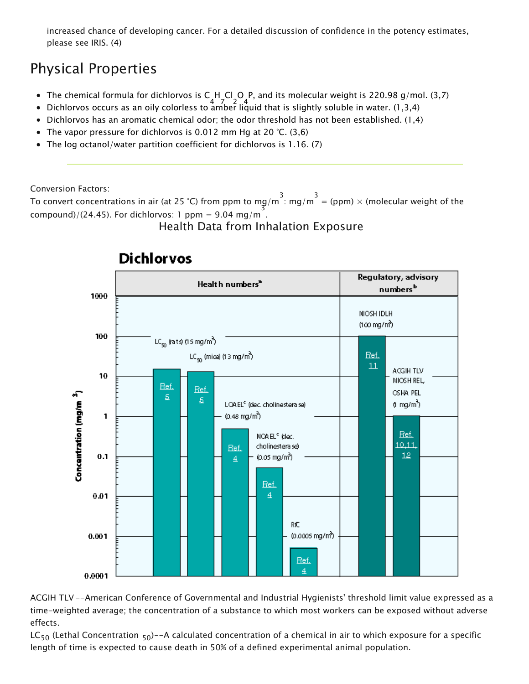increased chance of developing cancer. For a detailed discussion of confidence in the potency estimates, please see IRIS. (4)

## Physical Properties

- The chemical formula for dichlorvos is C H\_Cl\_O P, and its molecular weight is 220.98 g/mol. (3,7)
- 4 7 2 4 Dichlorvos occurs as an oily colorless to amber liquid that is slightly soluble in water. (1,3,4)
- $\bullet$  Dichlorvos has an aromatic chemical odor; the odor threshold has not been established. (1,4)
- The vapor pressure for dichlorvos is 0.012 mm Hg at 20 °C. (3,6)
- The log octanol/water partition coefficient for dichlorvos is 1.16. (7)

Conversion Factors:

To convert concentrations in air (at 25 °C) from ppm to mg/m  $\frac{3}{1}$ : mg/m  $\frac{3}{1}$  = (ppm)  $\times$  (molecular weight of the compound)/(24.45). For dichlorvos: 1 ppm = 9.04 mg/m<sup>3</sup>.

#### Health Data from Inhalation Exposure



#### **Dichlorvos**

ACGIH TLV--American Conference of Governmental and Industrial Hygienists' threshold limit value expressed as a time-weighted average; the concentration of a substance to which most workers can be exposed without adverse effects.

LC<sub>50</sub> (Lethal Concentration <sub>50</sub>)--A calculated concentration of a chemical in air to which exposure for a specific length of time is expected to cause death in 50% of a defined experimental animal population.